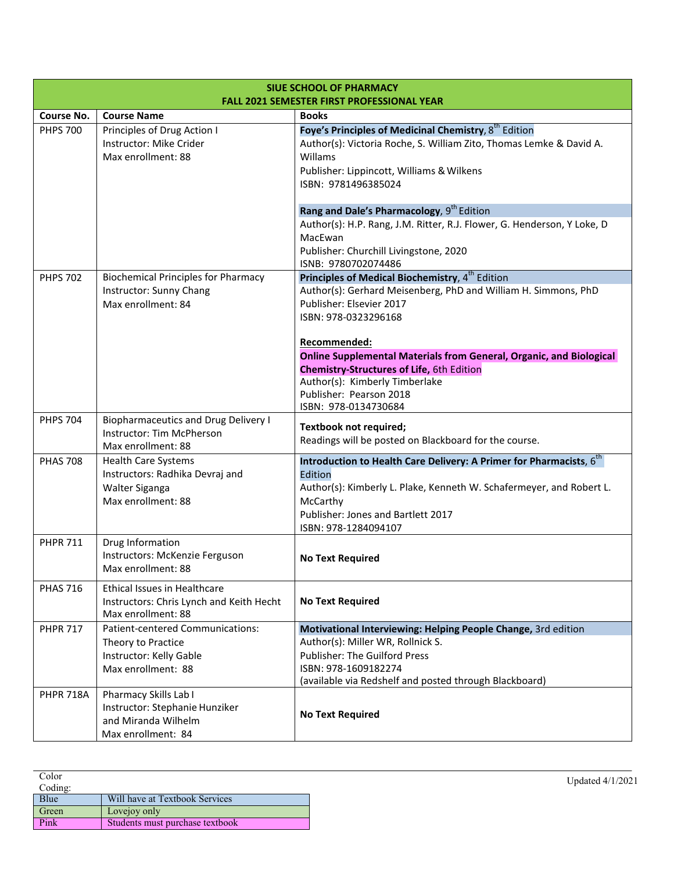| <b>SIUE SCHOOL OF PHARMACY</b><br><b>FALL 2021 SEMESTER FIRST PROFESSIONAL YEAR</b> |                                                                                                         |                                                                                                                                                                                                                                              |
|-------------------------------------------------------------------------------------|---------------------------------------------------------------------------------------------------------|----------------------------------------------------------------------------------------------------------------------------------------------------------------------------------------------------------------------------------------------|
| <b>Course No.</b>                                                                   | <b>Course Name</b>                                                                                      | <b>Books</b>                                                                                                                                                                                                                                 |
| <b>PHPS 700</b>                                                                     | Principles of Drug Action I<br>Instructor: Mike Crider<br>Max enrollment: 88                            | Foye's Principles of Medicinal Chemistry, 8 <sup>th</sup> Edition<br>Author(s): Victoria Roche, S. William Zito, Thomas Lemke & David A.<br>Willams<br>Publisher: Lippincott, Williams & Wilkens<br>ISBN: 9781496385024                      |
|                                                                                     |                                                                                                         | Rang and Dale's Pharmacology, 9 <sup>th</sup> Edition<br>Author(s): H.P. Rang, J.M. Ritter, R.J. Flower, G. Henderson, Y Loke, D<br>MacEwan<br>Publisher: Churchill Livingstone, 2020<br>ISNB: 9780702074486                                 |
| <b>PHPS 702</b>                                                                     | <b>Biochemical Principles for Pharmacy</b>                                                              | Principles of Medical Biochemistry, 4 <sup>th</sup> Edition                                                                                                                                                                                  |
|                                                                                     | Instructor: Sunny Chang<br>Max enrollment: 84                                                           | Author(s): Gerhard Meisenberg, PhD and William H. Simmons, PhD<br>Publisher: Elsevier 2017<br>ISBN: 978-0323296168                                                                                                                           |
|                                                                                     |                                                                                                         | Recommended:<br><b>Online Supplemental Materials from General, Organic, and Biological</b><br><b>Chemistry-Structures of Life, 6th Edition</b><br>Author(s): Kimberly Timberlake<br>Publisher: Pearson 2018<br>ISBN: 978-0134730684          |
| <b>PHPS 704</b>                                                                     | <b>Biopharmaceutics and Drug Delivery I</b><br>Instructor: Tim McPherson<br>Max enrollment: 88          | <b>Textbook not required;</b><br>Readings will be posted on Blackboard for the course.                                                                                                                                                       |
| <b>PHAS 708</b>                                                                     | <b>Health Care Systems</b><br>Instructors: Radhika Devraj and<br>Walter Siganga<br>Max enrollment: 88   | Introduction to Health Care Delivery: A Primer for Pharmacists, 6 <sup>th</sup><br>Edition<br>Author(s): Kimberly L. Plake, Kenneth W. Schafermeyer, and Robert L.<br>McCarthy<br>Publisher: Jones and Bartlett 2017<br>ISBN: 978-1284094107 |
| <b>PHPR 711</b>                                                                     | Drug Information<br>Instructors: McKenzie Ferguson<br>Max enrollment: 88                                | <b>No Text Required</b>                                                                                                                                                                                                                      |
| <b>PHAS 716</b>                                                                     | Ethical Issues in Healthcare<br>Instructors: Chris Lynch and Keith Hecht<br>Max enrollment: 88          | <b>No Text Required</b>                                                                                                                                                                                                                      |
| <b>PHPR 717</b>                                                                     | Patient-centered Communications:<br>Theory to Practice<br>Instructor: Kelly Gable<br>Max enrollment: 88 | Motivational Interviewing: Helping People Change, 3rd edition<br>Author(s): Miller WR, Rollnick S.<br><b>Publisher: The Guilford Press</b><br>ISBN: 978-1609182274<br>(available via Redshelf and posted through Blackboard)                 |
| <b>PHPR 718A</b>                                                                    | Pharmacy Skills Lab I<br>Instructor: Stephanie Hunziker<br>and Miranda Wilhelm<br>Max enrollment: 84    | <b>No Text Required</b>                                                                                                                                                                                                                      |

| Color   |                                 | Updated 4/1/2021 |
|---------|---------------------------------|------------------|
| Coding: |                                 |                  |
| Blue    | Will have at Textbook Services  |                  |
| Green   | Lovejoy only                    |                  |
| Pink    | Students must purchase textbook |                  |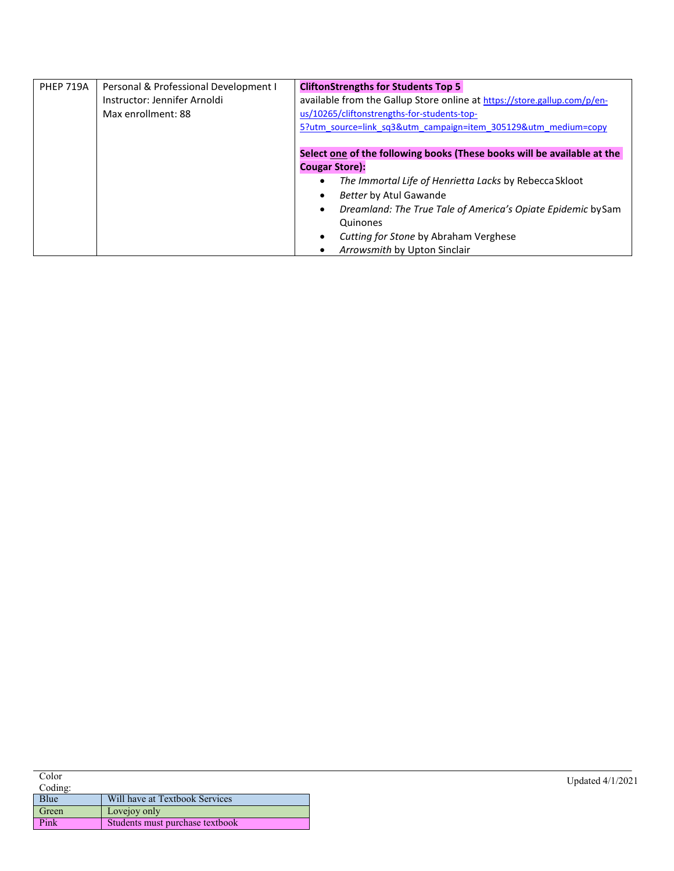| <b>PHEP 719A</b> | Personal & Professional Development I | <b>CliftonStrengths for Students Top 5</b>                               |
|------------------|---------------------------------------|--------------------------------------------------------------------------|
|                  | Instructor: Jennifer Arnoldi          | available from the Gallup Store online at https://store.gallup.com/p/en- |
|                  | Max enrollment: 88                    | us/10265/cliftonstrengths-for-students-top-                              |
|                  |                                       | 5?utm source=link_sq3&utm_campaign=item_305129&utm_medium=copy           |
|                  |                                       |                                                                          |
|                  |                                       | Select one of the following books (These books will be available at the  |
|                  |                                       | <b>Cougar Store):</b>                                                    |
|                  |                                       | The Immortal Life of Henrietta Lacks by Rebecca Skloot                   |
|                  |                                       | <b>Better by Atul Gawande</b>                                            |
|                  |                                       | Dreamland: The True Tale of America's Opiate Epidemic bySam              |
|                  |                                       | Quinones                                                                 |
|                  |                                       | Cutting for Stone by Abraham Verghese                                    |
|                  |                                       | Arrowsmith by Upton Sinclair                                             |

| Color   |                                 | Updated 4/1/2021 |
|---------|---------------------------------|------------------|
| Coding: |                                 |                  |
| Blue    | Will have at Textbook Services  |                  |
| Green   | Lovejoy only                    |                  |
| Pink    | Students must purchase textbook |                  |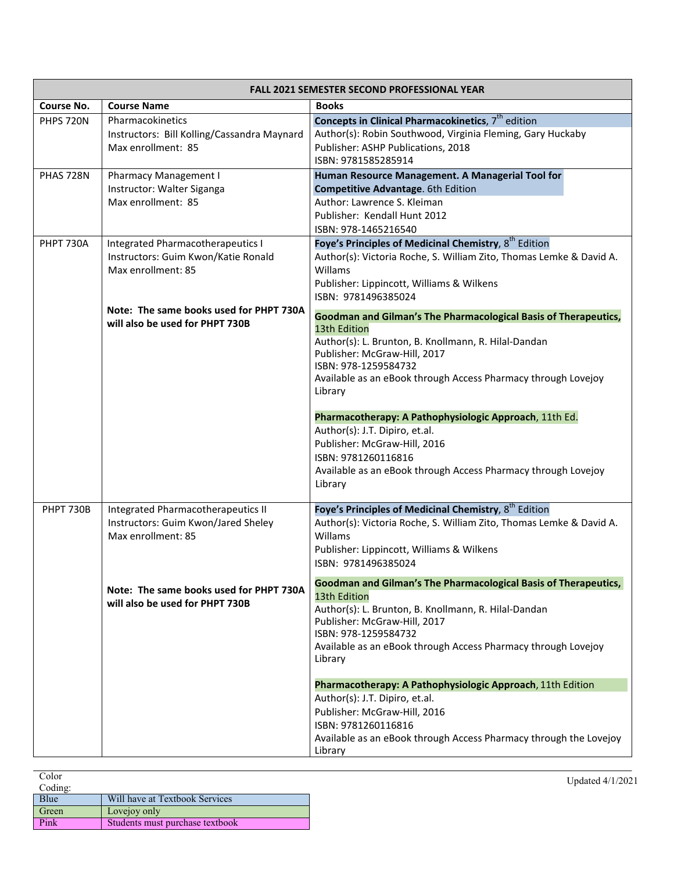| FALL 2021 SEMESTER SECOND PROFESSIONAL YEAR |                                                                                                 |                                                                                                                                                                                                                                                                             |
|---------------------------------------------|-------------------------------------------------------------------------------------------------|-----------------------------------------------------------------------------------------------------------------------------------------------------------------------------------------------------------------------------------------------------------------------------|
| <b>Course No.</b>                           | <b>Course Name</b>                                                                              | <b>Books</b>                                                                                                                                                                                                                                                                |
| <b>PHPS 720N</b>                            | Pharmacokinetics<br>Instructors: Bill Kolling/Cassandra Maynard<br>Max enrollment: 85           | Concepts in Clinical Pharmacokinetics, 7 <sup>th</sup> edition<br>Author(s): Robin Southwood, Virginia Fleming, Gary Huckaby<br>Publisher: ASHP Publications, 2018<br>ISBN: 9781585285914                                                                                   |
| PHAS 728N                                   | <b>Pharmacy Management I</b><br>Instructor: Walter Siganga<br>Max enrollment: 85                | Human Resource Management. A Managerial Tool for<br>Competitive Advantage. 6th Edition<br>Author: Lawrence S. Kleiman<br>Publisher: Kendall Hunt 2012<br>ISBN: 978-1465216540                                                                                               |
| PHPT 730A                                   | Integrated Pharmacotherapeutics I<br>Instructors: Guim Kwon/Katie Ronald<br>Max enrollment: 85  | Foye's Principles of Medicinal Chemistry, 8 <sup>th</sup> Edition<br>Author(s): Victoria Roche, S. William Zito, Thomas Lemke & David A.<br>Willams<br>Publisher: Lippincott, Williams & Wilkens<br>ISBN: 9781496385024                                                     |
|                                             | Note: The same books used for PHPT 730A<br>will also be used for PHPT 730B                      | Goodman and Gilman's The Pharmacological Basis of Therapeutics,<br>13th Edition<br>Author(s): L. Brunton, B. Knollmann, R. Hilal-Dandan<br>Publisher: McGraw-Hill, 2017<br>ISBN: 978-1259584732<br>Available as an eBook through Access Pharmacy through Lovejoy<br>Library |
|                                             |                                                                                                 | Pharmacotherapy: A Pathophysiologic Approach, 11th Ed.<br>Author(s): J.T. Dipiro, et.al.<br>Publisher: McGraw-Hill, 2016<br>ISBN: 9781260116816<br>Available as an eBook through Access Pharmacy through Lovejoy<br>Library                                                 |
| <b>PHPT 730B</b>                            | Integrated Pharmacotherapeutics II<br>Instructors: Guim Kwon/Jared Sheley<br>Max enrollment: 85 | Foye's Principles of Medicinal Chemistry, 8 <sup>th</sup> Edition<br>Author(s): Victoria Roche, S. William Zito, Thomas Lemke & David A.<br>Willams<br>Publisher: Lippincott, Williams & Wilkens<br>ISBN: 9781496385024                                                     |
|                                             | Note: The same books used for PHPT 730A<br>will also be used for PHPT 730B                      | Goodman and Gilman's The Pharmacological Basis of Therapeutics,<br>13th Edition<br>Author(s): L. Brunton, B. Knollmann, R. Hilal-Dandan<br>Publisher: McGraw-Hill, 2017<br>ISBN: 978-1259584732<br>Available as an eBook through Access Pharmacy through Lovejoy<br>Library |
|                                             |                                                                                                 | Pharmacotherapy: A Pathophysiologic Approach, 11th Edition<br>Author(s): J.T. Dipiro, et.al.<br>Publisher: McGraw-Hill, 2016<br>ISBN: 9781260116816<br>Available as an eBook through Access Pharmacy through the Lovejoy<br>Library                                         |

| Color   |                                 | Updated 4/1/2021 |
|---------|---------------------------------|------------------|
| Coding: |                                 |                  |
| Blue    | Will have at Textbook Services  |                  |
| Green   | Lovejoy only                    |                  |
| Pink    | Students must purchase textbook |                  |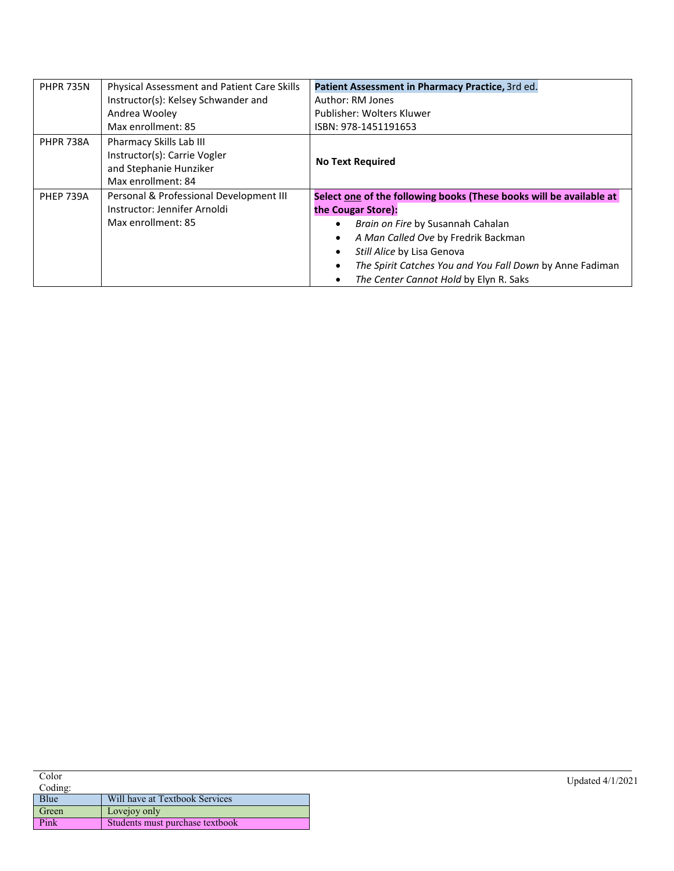| <b>PHPR 735N</b> | Physical Assessment and Patient Care Skills                                                             | Patient Assessment in Pharmacy Practice, 3rd ed.                                                                                                                                                                                                                                                          |
|------------------|---------------------------------------------------------------------------------------------------------|-----------------------------------------------------------------------------------------------------------------------------------------------------------------------------------------------------------------------------------------------------------------------------------------------------------|
|                  | Instructor(s): Kelsey Schwander and                                                                     | Author: RM Jones                                                                                                                                                                                                                                                                                          |
|                  | Andrea Wooley                                                                                           | Publisher: Wolters Kluwer                                                                                                                                                                                                                                                                                 |
|                  | Max enrollment: 85                                                                                      | ISBN: 978-1451191653                                                                                                                                                                                                                                                                                      |
| <b>PHPR 738A</b> | Pharmacy Skills Lab III<br>Instructor(s): Carrie Vogler<br>and Stephanie Hunziker<br>Max enrollment: 84 | <b>No Text Required</b>                                                                                                                                                                                                                                                                                   |
| <b>PHEP 739A</b> | Personal & Professional Development III<br>Instructor: Jennifer Arnoldi<br>Max enrollment: 85           | Select one of the following books (These books will be available at<br>the Cougar Store):<br>Brain on Fire by Susannah Cahalan<br>A Man Called Ove by Fredrik Backman<br>Still Alice by Lisa Genova<br>The Spirit Catches You and You Fall Down by Anne Fadiman<br>The Center Cannot Hold by Elyn R. Saks |

| Color   |                                 | Updated 4/1/2021 |
|---------|---------------------------------|------------------|
| Coding: |                                 |                  |
| Blue    | Will have at Textbook Services  |                  |
| Green   | Lovejoy only                    |                  |
| Pink    | Students must purchase textbook |                  |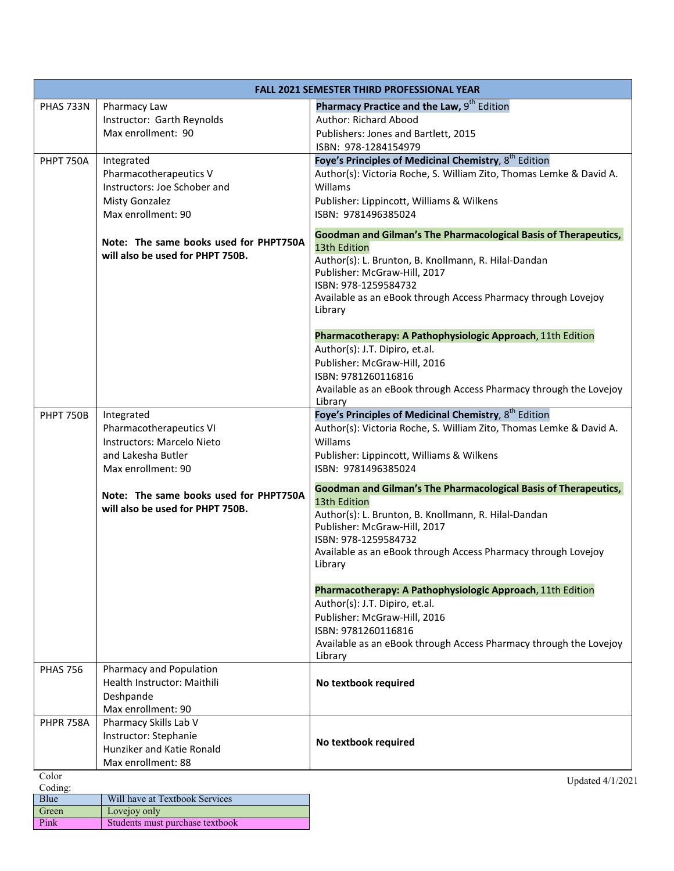| <b>FALL 2021 SEMESTER THIRD PROFESSIONAL YEAR</b> |                                                                            |                                                                                        |
|---------------------------------------------------|----------------------------------------------------------------------------|----------------------------------------------------------------------------------------|
| PHAS 733N                                         | Pharmacy Law<br>Instructor: Garth Reynolds                                 | Pharmacy Practice and the Law, 9 <sup>th</sup> Edition<br><b>Author: Richard Abood</b> |
|                                                   | Max enrollment: 90                                                         | Publishers: Jones and Bartlett, 2015                                                   |
|                                                   |                                                                            | ISBN: 978-1284154979                                                                   |
| <b>PHPT 750A</b>                                  | Integrated                                                                 | Foye's Principles of Medicinal Chemistry, 8 <sup>th</sup> Edition                      |
|                                                   | Pharmacotherapeutics V                                                     | Author(s): Victoria Roche, S. William Zito, Thomas Lemke & David A.                    |
|                                                   | Instructors: Joe Schober and                                               | Willams                                                                                |
|                                                   | Misty Gonzalez                                                             | Publisher: Lippincott, Williams & Wilkens                                              |
|                                                   | Max enrollment: 90                                                         | ISBN: 9781496385024                                                                    |
|                                                   |                                                                            | Goodman and Gilman's The Pharmacological Basis of Therapeutics,                        |
|                                                   | Note: The same books used for PHPT750A                                     | 13th Edition                                                                           |
|                                                   | will also be used for PHPT 750B.                                           | Author(s): L. Brunton, B. Knollmann, R. Hilal-Dandan                                   |
|                                                   |                                                                            | Publisher: McGraw-Hill, 2017                                                           |
|                                                   |                                                                            | ISBN: 978-1259584732<br>Available as an eBook through Access Pharmacy through Lovejoy  |
|                                                   |                                                                            | Library                                                                                |
|                                                   |                                                                            |                                                                                        |
|                                                   |                                                                            | Pharmacotherapy: A Pathophysiologic Approach, 11th Edition                             |
|                                                   |                                                                            | Author(s): J.T. Dipiro, et.al.                                                         |
|                                                   |                                                                            | Publisher: McGraw-Hill, 2016                                                           |
|                                                   |                                                                            | ISBN: 9781260116816                                                                    |
|                                                   |                                                                            | Available as an eBook through Access Pharmacy through the Lovejoy<br>Library           |
| <b>PHPT 750B</b>                                  | Integrated                                                                 | Foye's Principles of Medicinal Chemistry, 8 <sup>th</sup> Edition                      |
|                                                   | Pharmacotherapeutics VI                                                    | Author(s): Victoria Roche, S. William Zito, Thomas Lemke & David A.                    |
|                                                   | Instructors: Marcelo Nieto                                                 | Willams                                                                                |
|                                                   | and Lakesha Butler                                                         | Publisher: Lippincott, Williams & Wilkens                                              |
|                                                   | Max enrollment: 90                                                         | ISBN: 9781496385024                                                                    |
|                                                   |                                                                            | Goodman and Gilman's The Pharmacological Basis of Therapeutics,                        |
|                                                   | Note: The same books used for PHPT750A<br>will also be used for PHPT 750B. | 13th Edition                                                                           |
|                                                   |                                                                            | Author(s): L. Brunton, B. Knollmann, R. Hilal-Dandan                                   |
|                                                   |                                                                            | Publisher: McGraw-Hill, 2017                                                           |
|                                                   |                                                                            | ISBN: 978-1259584732<br>Available as an eBook through Access Pharmacy through Lovejoy  |
|                                                   |                                                                            | Library                                                                                |
|                                                   |                                                                            |                                                                                        |
|                                                   |                                                                            | Pharmacotherapy: A Pathophysiologic Approach, 11th Edition                             |
|                                                   |                                                                            | Author(s): J.T. Dipiro, et.al.                                                         |
|                                                   |                                                                            | Publisher: McGraw-Hill, 2016                                                           |
|                                                   |                                                                            | ISBN: 9781260116816                                                                    |
|                                                   |                                                                            | Available as an eBook through Access Pharmacy through the Lovejoy<br>Library           |
| <b>PHAS 756</b>                                   | Pharmacy and Population                                                    |                                                                                        |
|                                                   | Health Instructor: Maithili                                                | No textbook required                                                                   |
|                                                   | Deshpande                                                                  |                                                                                        |
|                                                   | Max enrollment: 90                                                         |                                                                                        |
| <b>PHPR 758A</b>                                  | Pharmacy Skills Lab V<br>Instructor: Stephanie                             |                                                                                        |
|                                                   | Hunziker and Katie Ronald                                                  | No textbook required                                                                   |
|                                                   | Max enrollment: 88                                                         |                                                                                        |
| Color                                             |                                                                            | Updated 4/1/2021                                                                       |
| Coding:<br>Blue                                   | Will have at Textbook Services                                             |                                                                                        |
| Green                                             | Lovejoy only                                                               |                                                                                        |
| Pink                                              | Students must purchase textbook                                            |                                                                                        |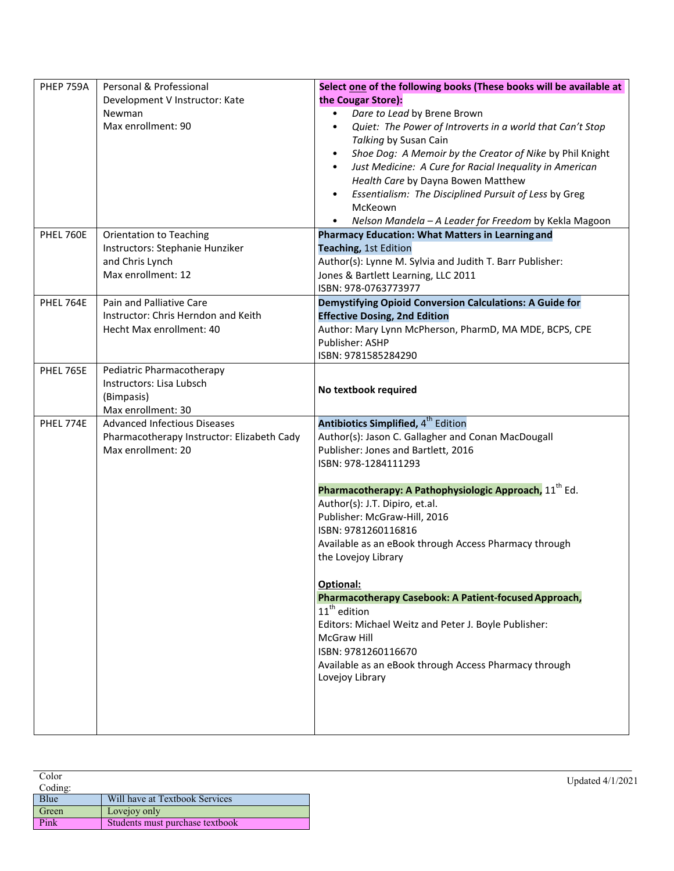| PHEP 759A        | Personal & Professional                    | Select one of the following books (These books will be available at    |
|------------------|--------------------------------------------|------------------------------------------------------------------------|
|                  | Development V Instructor: Kate             | the Cougar Store):                                                     |
|                  | Newman                                     | Dare to Lead by Brene Brown<br>$\bullet$                               |
|                  | Max enrollment: 90                         | Quiet: The Power of Introverts in a world that Can't Stop<br>$\bullet$ |
|                  |                                            | Talking by Susan Cain                                                  |
|                  |                                            | Shoe Dog: A Memoir by the Creator of Nike by Phil Knight<br>$\bullet$  |
|                  |                                            | Just Medicine: A Cure for Racial Inequality in American                |
|                  |                                            | Health Care by Dayna Bowen Matthew                                     |
|                  |                                            | Essentialism: The Disciplined Pursuit of Less by Greg                  |
|                  |                                            | McKeown                                                                |
|                  |                                            | Nelson Mandela - A Leader for Freedom by Kekla Magoon                  |
| PHEL 760E        | <b>Orientation to Teaching</b>             | <b>Pharmacy Education: What Matters in Learning and</b>                |
|                  | Instructors: Stephanie Hunziker            | Teaching, 1st Edition                                                  |
|                  | and Chris Lynch                            | Author(s): Lynne M. Sylvia and Judith T. Barr Publisher:               |
|                  | Max enrollment: 12                         | Jones & Bartlett Learning, LLC 2011                                    |
|                  |                                            | ISBN: 978-0763773977                                                   |
| PHEL 764E        | Pain and Palliative Care                   | Demystifying Opioid Conversion Calculations: A Guide for               |
|                  | Instructor: Chris Herndon and Keith        | <b>Effective Dosing, 2nd Edition</b>                                   |
|                  | Hecht Max enrollment: 40                   | Author: Mary Lynn McPherson, PharmD, MA MDE, BCPS, CPE                 |
|                  |                                            | Publisher: ASHP                                                        |
|                  |                                            | ISBN: 9781585284290                                                    |
| <b>PHEL 765E</b> | Pediatric Pharmacotherapy                  |                                                                        |
|                  | Instructors: Lisa Lubsch                   | No textbook required                                                   |
|                  | (Bimpasis)                                 |                                                                        |
|                  | Max enrollment: 30                         |                                                                        |
| PHEL 774E        | <b>Advanced Infectious Diseases</b>        | Antibiotics Simplified, 4 <sup>th</sup> Edition                        |
|                  | Pharmacotherapy Instructor: Elizabeth Cady | Author(s): Jason C. Gallagher and Conan MacDougall                     |
|                  | Max enrollment: 20                         | Publisher: Jones and Bartlett, 2016                                    |
|                  |                                            | ISBN: 978-1284111293                                                   |
|                  |                                            | Pharmacotherapy: A Pathophysiologic Approach, 11 <sup>th</sup> Ed.     |
|                  |                                            | Author(s): J.T. Dipiro, et.al.                                         |
|                  |                                            | Publisher: McGraw-Hill, 2016                                           |
|                  |                                            | ISBN: 9781260116816                                                    |
|                  |                                            | Available as an eBook through Access Pharmacy through                  |
|                  |                                            | the Lovejoy Library                                                    |
|                  |                                            |                                                                        |
|                  |                                            | Optional:                                                              |
|                  |                                            | Pharmacotherapy Casebook: A Patient-focused Approach,                  |
|                  |                                            | $11th$ edition                                                         |
|                  |                                            | Editors: Michael Weitz and Peter J. Boyle Publisher:                   |
|                  |                                            | <b>McGraw Hill</b>                                                     |
|                  |                                            | ISBN: 9781260116670                                                    |
|                  |                                            | Available as an eBook through Access Pharmacy through                  |
|                  |                                            | Lovejoy Library                                                        |
|                  |                                            |                                                                        |
|                  |                                            |                                                                        |
|                  |                                            |                                                                        |
|                  |                                            |                                                                        |

| Color   |                                 | Updated 4/1/2021 |
|---------|---------------------------------|------------------|
| Coding: |                                 |                  |
| Blue    | Will have at Textbook Services  |                  |
| Green   | Lovejoy only                    |                  |
| Pink    | Students must purchase textbook |                  |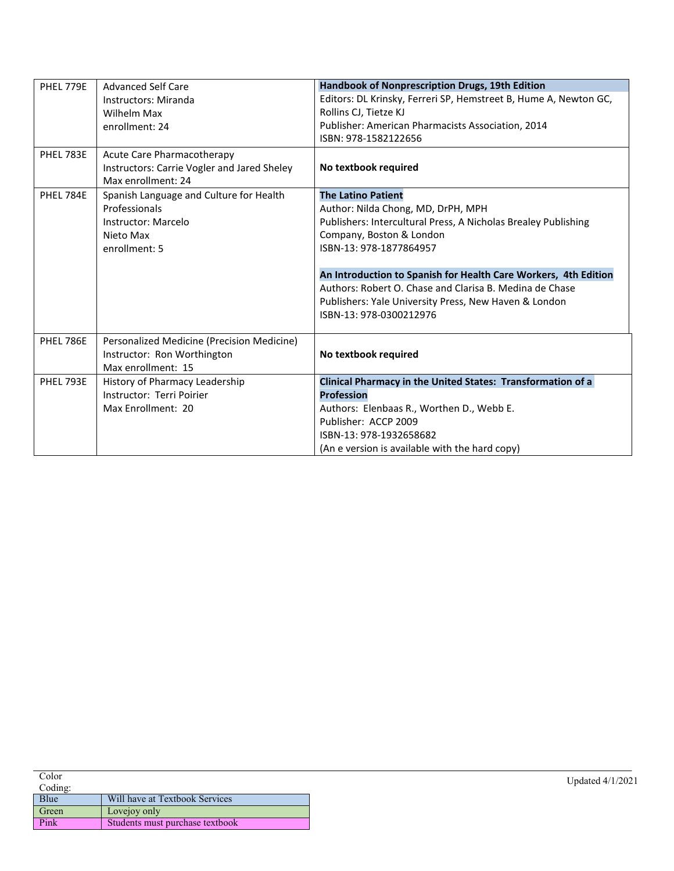| PHEL 779E | <b>Advanced Self Care</b>                   | Handbook of Nonprescription Drugs, 19th Edition                  |
|-----------|---------------------------------------------|------------------------------------------------------------------|
|           | Instructors: Miranda                        | Editors: DL Krinsky, Ferreri SP, Hemstreet B, Hume A, Newton GC, |
|           | Wilhelm Max                                 | Rollins CJ, Tietze KJ                                            |
|           | enrollment: 24                              | Publisher: American Pharmacists Association, 2014                |
|           |                                             | ISBN: 978-1582122656                                             |
| PHEL 783E | Acute Care Pharmacotherapy                  |                                                                  |
|           | Instructors: Carrie Vogler and Jared Sheley | No textbook required                                             |
|           | Max enrollment: 24                          |                                                                  |
| PHEL 784E | Spanish Language and Culture for Health     | <b>The Latino Patient</b>                                        |
|           | Professionals                               | Author: Nilda Chong, MD, DrPH, MPH                               |
|           | Instructor: Marcelo                         | Publishers: Intercultural Press, A Nicholas Brealey Publishing   |
|           | Nieto Max                                   | Company, Boston & London                                         |
|           | enrollment: 5                               | ISBN-13: 978-1877864957                                          |
|           |                                             |                                                                  |
|           |                                             | An Introduction to Spanish for Health Care Workers, 4th Edition  |
|           |                                             | Authors: Robert O. Chase and Clarisa B. Medina de Chase          |
|           |                                             | Publishers: Yale University Press, New Haven & London            |
|           |                                             | ISBN-13: 978-0300212976                                          |
|           |                                             |                                                                  |
| PHEL 786E | Personalized Medicine (Precision Medicine)  |                                                                  |
|           | Instructor: Ron Worthington                 | No textbook required                                             |
|           | Max enrollment: 15                          |                                                                  |
| PHEL 793E | History of Pharmacy Leadership              | Clinical Pharmacy in the United States: Transformation of a      |
|           | Instructor: Terri Poirier                   | <b>Profession</b>                                                |
|           | Max Enrollment: 20                          | Authors: Elenbaas R., Worthen D., Webb E.                        |
|           |                                             | Publisher: ACCP 2009                                             |
|           |                                             | ISBN-13: 978-1932658682                                          |
|           |                                             | (An e version is available with the hard copy)                   |

| Color   |                                 | Updated 4/1/2021 |
|---------|---------------------------------|------------------|
| Coding: |                                 |                  |
| Blue    | Will have at Textbook Services  |                  |
| Green   | Lovejoy only                    |                  |
| Pink    | Students must purchase textbook |                  |